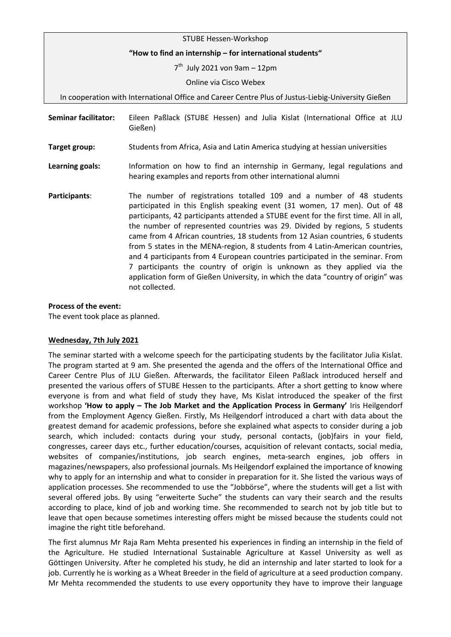| STUBE Hessen-Workshop                                                                              |                                                                                                                                                                                                                                                                                                                                                                                                                                                                                                                                                                                                                                                                                                                                             |
|----------------------------------------------------------------------------------------------------|---------------------------------------------------------------------------------------------------------------------------------------------------------------------------------------------------------------------------------------------------------------------------------------------------------------------------------------------------------------------------------------------------------------------------------------------------------------------------------------------------------------------------------------------------------------------------------------------------------------------------------------------------------------------------------------------------------------------------------------------|
| "How to find an internship - for international students"                                           |                                                                                                                                                                                                                                                                                                                                                                                                                                                                                                                                                                                                                                                                                                                                             |
| 7 <sup>th</sup> July 2021 von 9am - 12pm                                                           |                                                                                                                                                                                                                                                                                                                                                                                                                                                                                                                                                                                                                                                                                                                                             |
|                                                                                                    | Online via Cisco Webex                                                                                                                                                                                                                                                                                                                                                                                                                                                                                                                                                                                                                                                                                                                      |
| In cooperation with International Office and Career Centre Plus of Justus-Liebig-University Gießen |                                                                                                                                                                                                                                                                                                                                                                                                                                                                                                                                                                                                                                                                                                                                             |
| <b>Seminar facilitator:</b>                                                                        | Eileen Paßlack (STUBE Hessen) and Julia Kislat (International Office at JLU<br>Gießen)                                                                                                                                                                                                                                                                                                                                                                                                                                                                                                                                                                                                                                                      |
| Target group:                                                                                      | Students from Africa, Asia and Latin America studying at hessian universities                                                                                                                                                                                                                                                                                                                                                                                                                                                                                                                                                                                                                                                               |
| Learning goals:                                                                                    | Information on how to find an internship in Germany, legal regulations and<br>hearing examples and reports from other international alumni                                                                                                                                                                                                                                                                                                                                                                                                                                                                                                                                                                                                  |
| Participants:                                                                                      | The number of registrations totalled 109 and a number of 48 students<br>participated in this English speaking event (31 women, 17 men). Out of 48<br>participants, 42 participants attended a STUBE event for the first time. All in all,<br>the number of represented countries was 29. Divided by regions, 5 students<br>came from 4 African countries, 18 students from 12 Asian countries, 6 students<br>from 5 states in the MENA-region, 8 students from 4 Latin-American countries,<br>and 4 participants from 4 European countries participated in the seminar. From<br>7 participants the country of origin is unknown as they applied via the<br>application form of Gießen University, in which the data "country of origin" was |

## **Process of the event:**

The event took place as planned.

not collected.

## **Wednesday, 7th July 2021**

The seminar started with a welcome speech for the participating students by the facilitator Julia Kislat. The program started at 9 am. She presented the agenda and the offers of the International Office and Career Centre Plus of JLU Gießen. Afterwards, the facilitator Eileen Paßlack introduced herself and presented the various offers of STUBE Hessen to the participants. After a short getting to know where everyone is from and what field of study they have, Ms Kislat introduced the speaker of the first workshop **'How to apply – The Job Market and the Application Process in Germany'** Iris Heilgendorf from the Employment Agency Gießen. Firstly, Ms Heilgendorf introduced a chart with data about the greatest demand for academic professions, before she explained what aspects to consider during a job search, which included: contacts during your study, personal contacts, (job)fairs in your field, congresses, career days etc., further education/courses, acquisition of relevant contacts, social media, websites of companies/institutions, job search engines, meta-search engines, job offers in magazines/newspapers, also professional journals. Ms Heilgendorf explained the importance of knowing why to apply for an internship and what to consider in preparation for it. She listed the various ways of application processes. She recommended to use the "Jobbörse", where the students will get a list with several offered jobs. By using "erweiterte Suche" the students can vary their search and the results according to place, kind of job and working time. She recommended to search not by job title but to leave that open because sometimes interesting offers might be missed because the students could not imagine the right title beforehand.

The first alumnus Mr Raja Ram Mehta presented his experiences in finding an internship in the field of the Agriculture. He studied International Sustainable Agriculture at Kassel University as well as Göttingen University. After he completed his study, he did an internship and later started to look for a job. Currently he is working as a Wheat Breeder in the field of agriculture at a seed production company. Mr Mehta recommended the students to use every opportunity they have to improve their language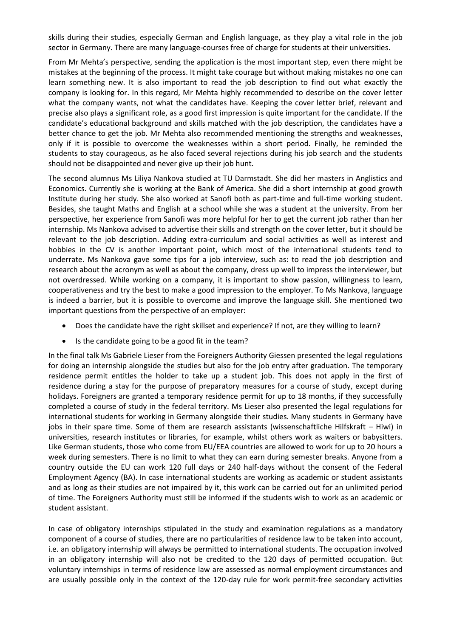skills during their studies, especially German and English language, as they play a vital role in the job sector in Germany. There are many language-courses free of charge for students at their universities.

From Mr Mehta's perspective, sending the application is the most important step, even there might be mistakes at the beginning of the process. It might take courage but without making mistakes no one can learn something new. It is also important to read the job description to find out what exactly the company is looking for. In this regard, Mr Mehta highly recommended to describe on the cover letter what the company wants, not what the candidates have. Keeping the cover letter brief, relevant and precise also plays a significant role, as a good first impression is quite important for the candidate. If the candidate's educational background and skills matched with the job description, the candidates have a better chance to get the job. Mr Mehta also recommended mentioning the strengths and weaknesses, only if it is possible to overcome the weaknesses within a short period. Finally, he reminded the students to stay courageous, as he also faced several rejections during his job search and the students should not be disappointed and never give up their job hunt.

The second alumnus Ms Liliya Nankova studied at TU Darmstadt. She did her masters in Anglistics and Economics. Currently she is working at the Bank of America. She did a short internship at good growth Institute during her study. She also worked at Sanofi both as part-time and full-time working student. Besides, she taught Maths and English at a school while she was a student at the university. From her perspective, her experience from Sanofi was more helpful for her to get the current job rather than her internship. Ms Nankova advised to advertise their skills and strength on the cover letter, but it should be relevant to the job description. Adding extra-curriculum and social activities as well as interest and hobbies in the CV is another important point, which most of the international students tend to underrate. Ms Nankova gave some tips for a job interview, such as: to read the job description and research about the acronym as well as about the company, dress up well to impress the interviewer, but not overdressed. While working on a company, it is important to show passion, willingness to learn, cooperativeness and try the best to make a good impression to the employer. To Ms Nankova, language is indeed a barrier, but it is possible to overcome and improve the language skill. She mentioned two important questions from the perspective of an employer:

- Does the candidate have the right skillset and experience? If not, are they willing to learn?
- Is the candidate going to be a good fit in the team?

In the final talk Ms Gabriele Lieser from the Foreigners Authority Giessen presented the legal regulations for doing an internship alongside the studies but also for the job entry after graduation. The temporary residence permit entitles the holder to take up a student job. This does not apply in the first of residence during a stay for the purpose of preparatory measures for a course of study, except during holidays. Foreigners are granted a temporary residence permit for up to 18 months, if they successfully completed a course of study in the federal territory. Ms Lieser also presented the legal regulations for international students for working in Germany alongside their studies. Many students in Germany have jobs in their spare time. Some of them are research assistants (wissenschaftliche Hilfskraft – Hiwi) in universities, research institutes or libraries, for example, whilst others work as waiters or babysitters. Like German students, those who come from EU/EEA countries are allowed to work for up to 20 hours a week during semesters. There is no limit to what they can earn during semester breaks. Anyone from a country outside the EU can work 120 full days or 240 half-days without the consent of the Federal Employment Agency (BA). In case international students are working as academic or student assistants and as long as their studies are not impaired by it, this work can be carried out for an unlimited period of time. The Foreigners Authority must still be informed if the students wish to work as an academic or student assistant.

In case of obligatory internships stipulated in the study and examination regulations as a mandatory component of a course of studies, there are no particularities of residence law to be taken into account, i.e. an obligatory internship will always be permitted to international students. The occupation involved in an obligatory internship will also not be credited to the 120 days of permitted occupation. But voluntary internships in terms of residence law are assessed as normal employment circumstances and are usually possible only in the context of the 120-day rule for work permit-free secondary activities